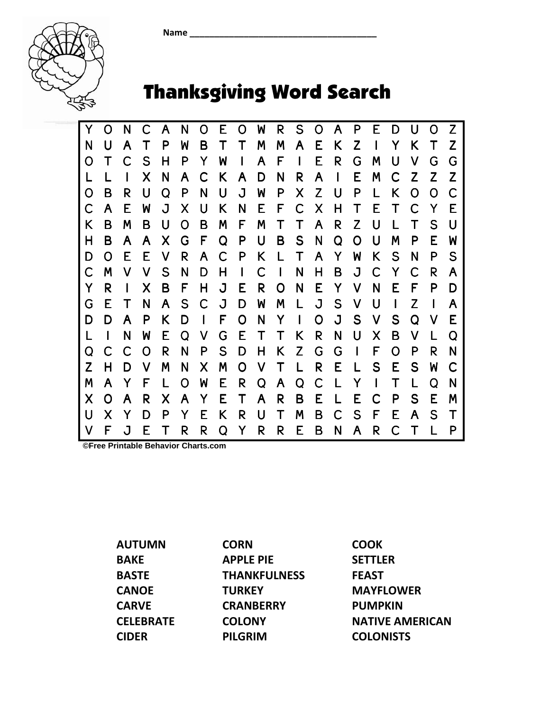Name \_\_\_\_\_\_\_\_\_\_\_\_\_\_\_\_\_\_\_\_\_\_\_\_\_\_\_\_\_\_\_\_\_\_\_\_\_\_



## Thanksgiving Word Search

Y O N C A N O E O W R S O A P E D U O Z N U A T P W B T T M M A E K Z I Y K T Z O T C S H P Y W I A F I E R G M U V G G L L I X N A C K A D N R A I E M C Z Z Z O B R U Q P N U J W P X Z U P L K O O C C A E W J X U K N E F C X H T E T C Y E I K B M B U O B M F M T T A R Z U L T S U H B A A X G F Q P U B S N Q O U M P E W D O E E V R A C P K L T A Y W K S N P S C M V V S N D H I C I N H B J C Y C R A Y R I X B F H J E R O N E Y V N E F P D G E T N A S C J D W M L J S V U I Z I A D D A P K D I F O N Y I O J S V S Q V E L I N W E Q V G E T T K R N U X B V L Q Q C C O R N P S D H K Z G G I F O P R N Z H D V M N X M O V T L R E L S E S W C M A Y F L O W E R Q A Q C L Y I T L Q N X O A R X A Y E T A R B E L E C P S E M U X Y D P Y E K R U T M B C S F E A S T V F J E T R R Q Y R R E B N A R C T L P

**©Free Printable Behavior Charts.com** 

AUTUMN BAKE BASTE **CANOE** CARVE **CELEBRATE** CIDER

**CORN** APPLE PIE **THANKFULNESS TURKEY CRANBERRY COLONY** PILGRIM

COOK SETTLER FEAST MAYFLOWER PUMPKIN NATIVE AMERICAN **COLONISTS**